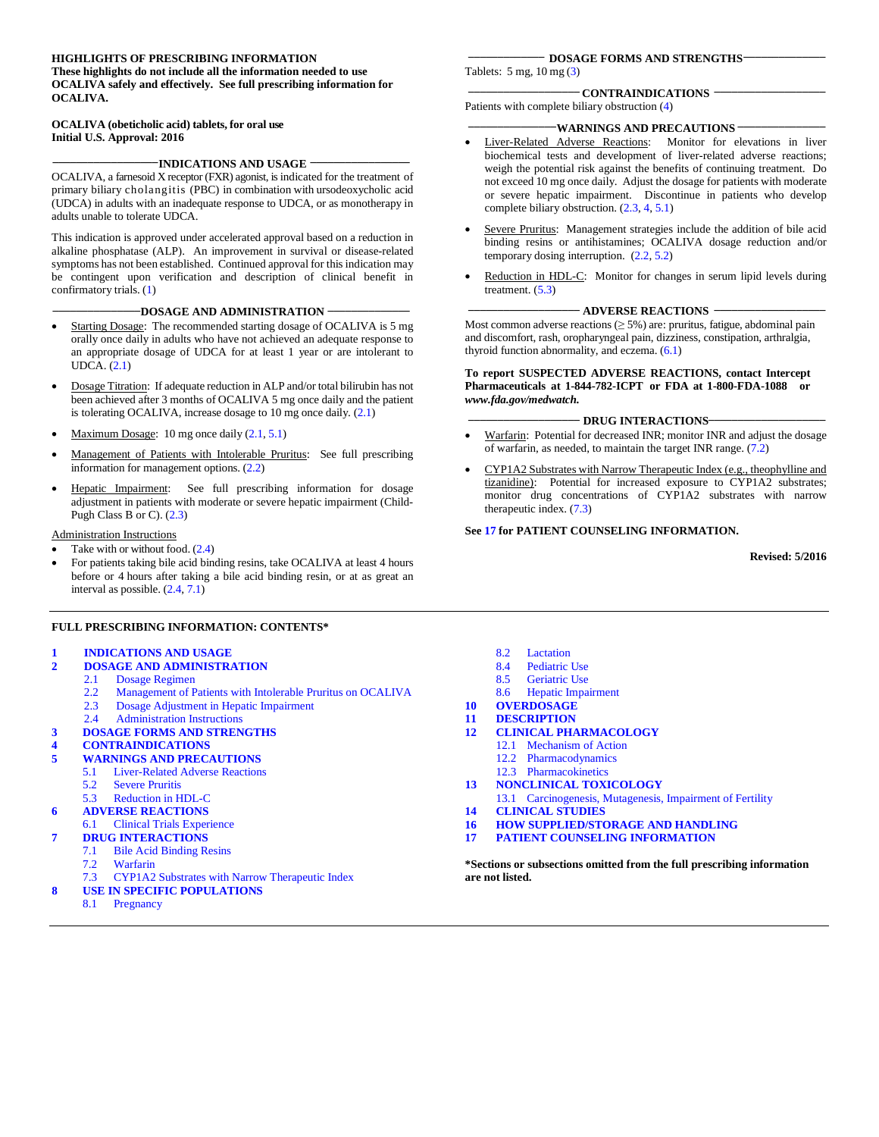#### **HIGHLIGHTS OF PRESCRIBING INFORMATION**

**These highlights do not include all the information needed to use OCALIVA safely and effectively. See full prescribing information for OCALIVA.**

#### **OCALIVA (obeticholic acid) tablets, for oral use Initial U.S. Approval: 2016**

**\_\_\_\_\_\_\_\_\_\_\_\_\_\_\_\_\_\_INDICATIONS AND USAGE \_\_\_\_\_\_\_\_\_\_\_\_\_\_\_\_\_**

OCALIVA, a farnesoid X receptor (FXR) agonist, is indicated for the treatment of primary biliary cholangitis (PBC) in combination with ursodeoxycholic acid (UDCA) in adults with an inadequate response to UDCA, or as monotherapy in adults unable to tolerate UDCA.

This indication is approved under accelerated approval based on a reduction in alkaline phosphatase (ALP). An improvement in survival or disease-related symptoms has not been established. Continued approval for this indication may be contingent upon verification and description of clinical benefit in confirmatory trials. (1)

#### **\_\_\_\_\_\_\_\_\_\_\_\_\_\_\_DOSAGE AND ADMINISTRATION \_\_\_\_\_\_\_\_\_\_\_\_\_\_**

- Starting Dosage: The recommended starting dosage of OCALIVA is 5 mg orally once daily in adults who have not achieved an adequate response to an appropriate dosage of UDCA for at least 1 year or are intolerant to UDCA. (2.1)
- Dosage Titration: If adequate reduction in ALP and/or total bilirubin has not been achieved after 3 months of OCALIVA 5 mg once daily and the patient is tolerating OCALIVA, increase dosage to 10 mg once daily. (2.1)
- Maximum Dosage: 10 mg once daily (2.1, 5.1)
- Management of Patients with Intolerable Pruritus: See full prescribing information for management options. (2.2)
- Hepatic Impairment: See full prescribing information for dosage adjustment in patients with moderate or severe hepatic impairment (Child-Pugh Class B or C). (2.3)

#### Administration Instructions

- Take with or without food.  $(2.4)$
- For patients taking bile acid binding resins, take OCALIVA at least 4 hours before or 4 hours after taking a bile acid binding resin, or at as great an interval as possible. (2.4, 7.1)

#### **FULL PRESCRIBING INFORMATION: CONTENTS\***

#### **1 [INDICATIONS AND USAGE](#page-1-0)**

- **2 [DOSAGE AND ADMINISTRATION](#page-1-1)**
	- 2.1 Dosage Regimen
	- 2.2 Management of Patients with Intolerable Pruritus on OCALIVA<br>2.3 Dosage Adjustment in Henatic Impairment
	- 2.3 Dosage Adjustment in Hepatic Impairment
- 2.4 Administration Instructions
- **3 [DOSAGE FORMS AND STRENGTHS](#page-2-0)**

## **4 [CONTRAINDICATIONS](#page-2-1)**

- **5 [WARNINGS AND PRECAUTIONS](#page-2-2)**
- 5.1 [Liver-](#page-2-3)Related Adverse Reactions
	- 5.2 [Severe Pruritis](#page-3-0)
	- 5.3 [Reduction in HDL-C](#page-3-0)
- **6 [ADVERSE REACTIONS](#page-4-0)**
- 6.1 Clinical Trials Experience

#### **7 [DRUG INTERACTIONS](#page-6-0)**

- 7.1 Bile Acid Binding Resins
- 7.2 Warfarin
- 
- 7.3 CYP1A2 Substrates with Narrow Therapeutic Index **8 [USE IN SPECIFIC POPULATIONS](#page-6-1)**
	- 8.1 [Pregnancy](#page-6-2)

#### **\_\_\_\_\_\_\_\_\_\_\_\_\_ DOSAGE FORMS AND STRENGTHS\_\_\_\_\_\_\_\_\_\_\_\_\_\_**

Tablets: 5 mg, 10 mg (3)

#### **\_\_\_\_\_\_\_\_\_\_\_\_\_\_\_\_\_\_\_ CONTRAINDICATIONS \_\_\_\_\_\_\_\_\_\_\_\_\_\_\_\_\_\_\_** Patients with complete biliary obstruction (4)

#### **WARNINGS AND PRECAUTIONS -**

- Liver-Related Adverse Reactions: Monitor for elevations in liver biochemical tests and development of liver-related adverse reactions; weigh the potential risk against the benefits of continuing treatment. Do not exceed 10 mg once daily. Adjust the dosage for patients with moderate or severe hepatic impairment. Discontinue in patients who develop complete biliary obstruction. (2.3, 4, 5.1)
- Severe Pruritus: Management strategies include the addition of bile acid binding resins or antihistamines; OCALIVA dosage reduction and/or temporary dosing interruption. (2.2, 5.2)
- Reduction in HDL-C: Monitor for changes in serum lipid levels during treatment.  $(5.3)$

#### **\_\_\_\_\_\_\_\_\_\_\_\_\_\_\_\_\_\_\_ ADVERSE REACTIONS \_\_\_\_\_\_\_\_\_\_\_\_\_\_\_\_\_\_\_**

Most common adverse reactions  $(≥ 5%)$  are: pruritus, fatigue, abdominal pain and discomfort, rash, oropharyngeal pain, dizziness, constipation, arthralgia, thyroid function abnormality, and eczema. (6.1)

#### **To report SUSPECTED ADVERSE REACTIONS, contact Intercept Pharmaceuticals at 1-844-782-ICPT or FDA at 1-800-FDA-1088 or** *[www.fda.gov/medwatch.](http://www.fda.gov/medwatch)*

#### **DRUG INTERACTIONS**

- Warfarin: Potential for decreased INR; monitor INR and adjust the dosage of warfarin, as needed, to maintain the target INR range. (7.2)
- CYP1A2 Substrates with Narrow Therapeutic Index (e.g., theophylline and tizanidine): Potential for increased exposure to CYP1A2 substrates; monitor drug concentrations of CYP1A2 substrates with narrow therapeutic index. (7.3)

#### **See 17 for PATIENT COUNSELING INFORMATION.**

**Revised: 5/2016**

- 8.2 [Lactation](#page-7-0)
- 8.4 [Pediatric Use](#page-7-1)<br>8.5 Geriatric Use
- **[Geriatric Use](#page-7-2)**
- 8.6 Hepatic Impairment
- **10 [OVERDOSAGE](#page-8-0)**
- **11 [DESCRIPTION](#page-8-1)**
- **12 [CLINICAL PHARMACOLOGY](#page-9-0)**
	- 12.1 [Mechanism of Action](#page-9-1)<br>12.2 Pharmacodynamics **[Pharmacodynamics](#page-9-2)**
	-
	- 12.3 [Pharmacokinetics](#page-9-3)
- **13 [NONCLINICAL TOXICOLOGY](#page-11-0)**
- 13.1 [Carcinogenesis, Mutagenesis, Impairment of Fertility](#page-11-1)
- **14 [CLINICAL STUDIES](#page-12-0)**
- **16 [HOW SUPPLIED/STORAGE](#page-15-0) AND HANDLING**
- **17 [PATIENT COUNSELING INFORMATION](#page-15-1)**

**\*Sections or subsections omitted from the full prescribing information are not listed.**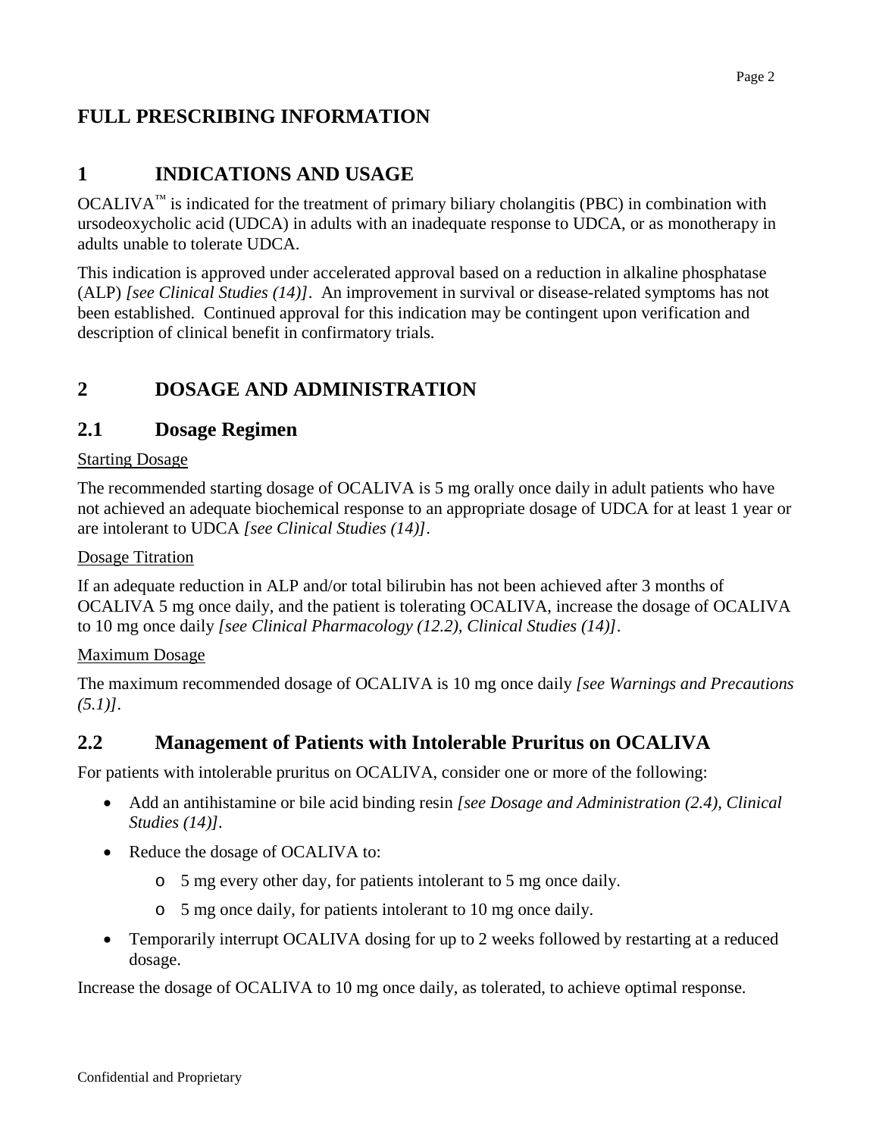# **FULL PRESCRIBING INFORMATION**

## <span id="page-1-0"></span>**1 INDICATIONS AND USAGE**

OCALIVA<sup>™</sup> is indicated for the treatment of primary biliary cholangitis (PBC) in combination with ursodeoxycholic acid (UDCA) in adults with an inadequate response to UDCA, or as monotherapy in adults unable to tolerate UDCA.

This indication is approved under accelerated approval based on a reduction in alkaline phosphatase (ALP) *[see Clinical Studies (14)]*. An improvement in survival or disease-related symptoms has not been established. Continued approval for this indication may be contingent upon verification and description of clinical benefit in confirmatory trials.

## <span id="page-1-1"></span>**2 DOSAGE AND ADMINISTRATION**

## **2.1 Dosage Regimen**

#### Starting Dosage

The recommended starting dosage of OCALIVA is 5 mg orally once daily in adult patients who have not achieved an adequate biochemical response to an appropriate dosage of UDCA for at least 1 year or are intolerant to UDCA *[see Clinical Studies (14)]*.

#### Dosage Titration

If an adequate reduction in ALP and/or total bilirubin has not been achieved after 3 months of OCALIVA 5 mg once daily, and the patient is tolerating OCALIVA, increase the dosage of OCALIVA to 10 mg once daily *[see Clinical Pharmacology (12.2), Clinical Studies (14)]*.

### Maximum Dosage

The maximum recommended dosage of OCALIVA is 10 mg once daily *[see Warnings and Precautions (5.1)].*

## **2.2 Management of Patients with Intolerable Pruritus on OCALIVA**

For patients with intolerable pruritus on OCALIVA, consider one or more of the following:

- Add an antihistamine or bile acid binding resin *[see Dosage and Administration (2.4), Clinical Studies (14)].*
- Reduce the dosage of OCALIVA to:
	- o 5 mg every other day, for patients intolerant to 5 mg once daily.
	- o 5 mg once daily, for patients intolerant to 10 mg once daily.
- Temporarily interrupt OCALIVA dosing for up to 2 weeks followed by restarting at a reduced dosage.

Increase the dosage of OCALIVA to 10 mg once daily, as tolerated, to achieve optimal response.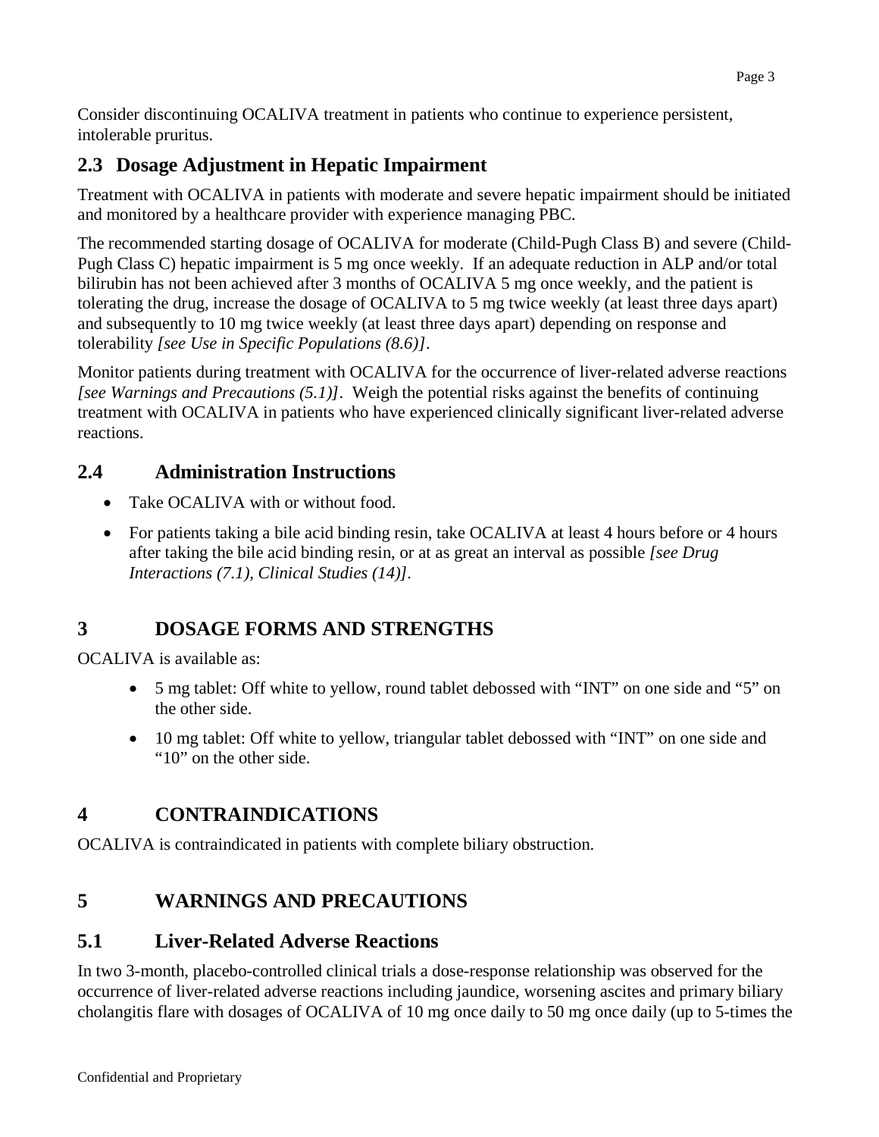Consider discontinuing OCALIVA treatment in patients who continue to experience persistent, intolerable pruritus.

## **2.3 Dosage Adjustment in Hepatic Impairment**

Treatment with OCALIVA in patients with moderate and severe hepatic impairment should be initiated and monitored by a healthcare provider with experience managing PBC.

The recommended starting dosage of OCALIVA for moderate (Child-Pugh Class B) and severe (Child-Pugh Class C) hepatic impairment is 5 mg once weekly. If an adequate reduction in ALP and/or total bilirubin has not been achieved after 3 months of OCALIVA 5 mg once weekly, and the patient is tolerating the drug, increase the dosage of OCALIVA to 5 mg twice weekly (at least three days apart) and subsequently to 10 mg twice weekly (at least three days apart) depending on response and tolerability *[see Use in Specific Populations (8.6)]*.

Monitor patients during treatment with OCALIVA for the occurrence of liver-related adverse reactions *[see Warnings and Precautions (5.1)]*. Weigh the potential risks against the benefits of continuing treatment with OCALIVA in patients who have experienced clinically significant liver-related adverse reactions.

# **2.4 Administration Instructions**

- Take OCALIVA with or without food.
- For patients taking a bile acid binding resin, take OCALIVA at least 4 hours before or 4 hours after taking the bile acid binding resin, or at as great an interval as possible *[see Drug Interactions (7.1), Clinical Studies (14)].*

# <span id="page-2-0"></span>**3 DOSAGE FORMS AND STRENGTHS**

OCALIVA is available as:

- 5 mg tablet: Off white to yellow, round tablet debossed with "INT" on one side and "5" on the other side.
- 10 mg tablet: Off white to yellow, triangular tablet debossed with "INT" on one side and "10" on the other side.

# <span id="page-2-1"></span>**4 CONTRAINDICATIONS**

OCALIVA is contraindicated in patients with complete biliary obstruction.

# <span id="page-2-2"></span>**5 WARNINGS AND PRECAUTIONS**

# <span id="page-2-3"></span>**5.1 Liver-Related Adverse Reactions**

In two 3-month, placebo-controlled clinical trials a dose-response relationship was observed for the occurrence of liver-related adverse reactions including jaundice, worsening ascites and primary biliary cholangitis flare with dosages of OCALIVA of 10 mg once daily to 50 mg once daily (up to 5-times the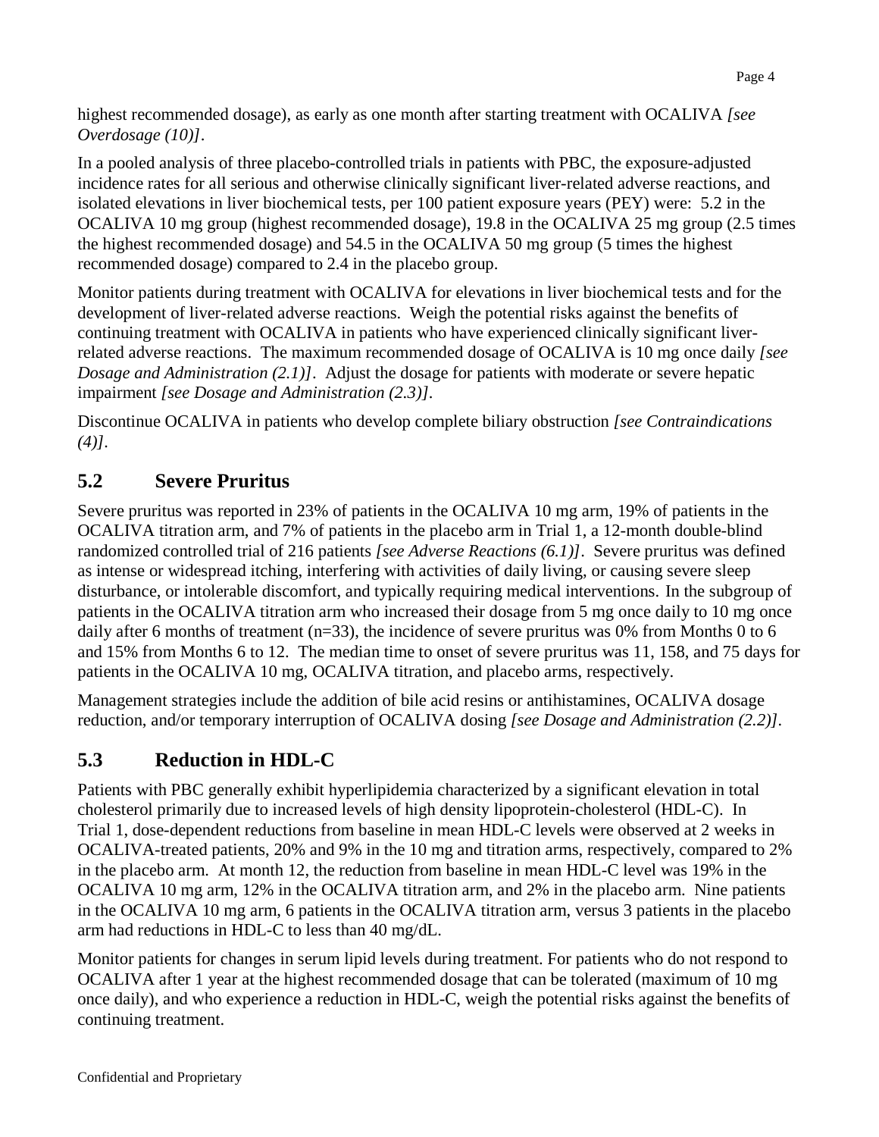highest recommended dosage), as early as one month after starting treatment with OCALIVA *[see Overdosage (10)]*.

In a pooled analysis of three placebo-controlled trials in patients with PBC, the exposure-adjusted incidence rates for all serious and otherwise clinically significant liver-related adverse reactions, and isolated elevations in liver biochemical tests, per 100 patient exposure years (PEY) were: 5.2 in the OCALIVA 10 mg group (highest recommended dosage), 19.8 in the OCALIVA 25 mg group (2.5 times the highest recommended dosage) and 54.5 in the OCALIVA 50 mg group (5 times the highest recommended dosage) compared to 2.4 in the placebo group.

Monitor patients during treatment with OCALIVA for elevations in liver biochemical tests and for the development of liver-related adverse reactions. Weigh the potential risks against the benefits of continuing treatment with OCALIVA in patients who have experienced clinically significant liverrelated adverse reactions. The maximum recommended dosage of OCALIVA is 10 mg once daily *[see Dosage and Administration (2.1)]*. Adjust the dosage for patients with moderate or severe hepatic impairment *[see Dosage and Administration (2.3)].*

Discontinue OCALIVA in patients who develop complete biliary obstruction *[see Contraindications (4)].*

# <span id="page-3-0"></span>**5.2 Severe Pruritus**

Severe pruritus was reported in 23% of patients in the OCALIVA 10 mg arm, 19% of patients in the OCALIVA titration arm, and 7% of patients in the placebo arm in Trial 1, a 12-month double-blind randomized controlled trial of 216 patients *[see Adverse Reactions (6.1)]*. Severe pruritus was defined as intense or widespread itching, interfering with activities of daily living, or causing severe sleep disturbance, or intolerable discomfort, and typically requiring medical interventions. In the subgroup of patients in the OCALIVA titration arm who increased their dosage from 5 mg once daily to 10 mg once daily after 6 months of treatment (n=33), the incidence of severe pruritus was 0% from Months 0 to 6 and 15% from Months 6 to 12. The median time to onset of severe pruritus was 11, 158, and 75 days for patients in the OCALIVA 10 mg, OCALIVA titration, and placebo arms, respectively.

Management strategies include the addition of bile acid resins or antihistamines, OCALIVA dosage reduction, and/or temporary interruption of OCALIVA dosing *[see Dosage and Administration (2.2)].* 

# **5.3 Reduction in HDL-C**

Patients with PBC generally exhibit hyperlipidemia characterized by a significant elevation in total cholesterol primarily due to increased levels of high density lipoprotein-cholesterol (HDL-C). In Trial 1, dose-dependent reductions from baseline in mean HDL-C levels were observed at 2 weeks in OCALIVA-treated patients, 20% and 9% in the 10 mg and titration arms, respectively, compared to 2% in the placebo arm. At month 12, the reduction from baseline in mean HDL-C level was 19% in the OCALIVA 10 mg arm, 12% in the OCALIVA titration arm, and 2% in the placebo arm. Nine patients in the OCALIVA 10 mg arm, 6 patients in the OCALIVA titration arm, versus 3 patients in the placebo arm had reductions in HDL-C to less than 40 mg/dL.

Monitor patients for changes in serum lipid levels during treatment. For patients who do not respond to OCALIVA after 1 year at the highest recommended dosage that can be tolerated (maximum of 10 mg once daily), and who experience a reduction in HDL-C, weigh the potential risks against the benefits of continuing treatment.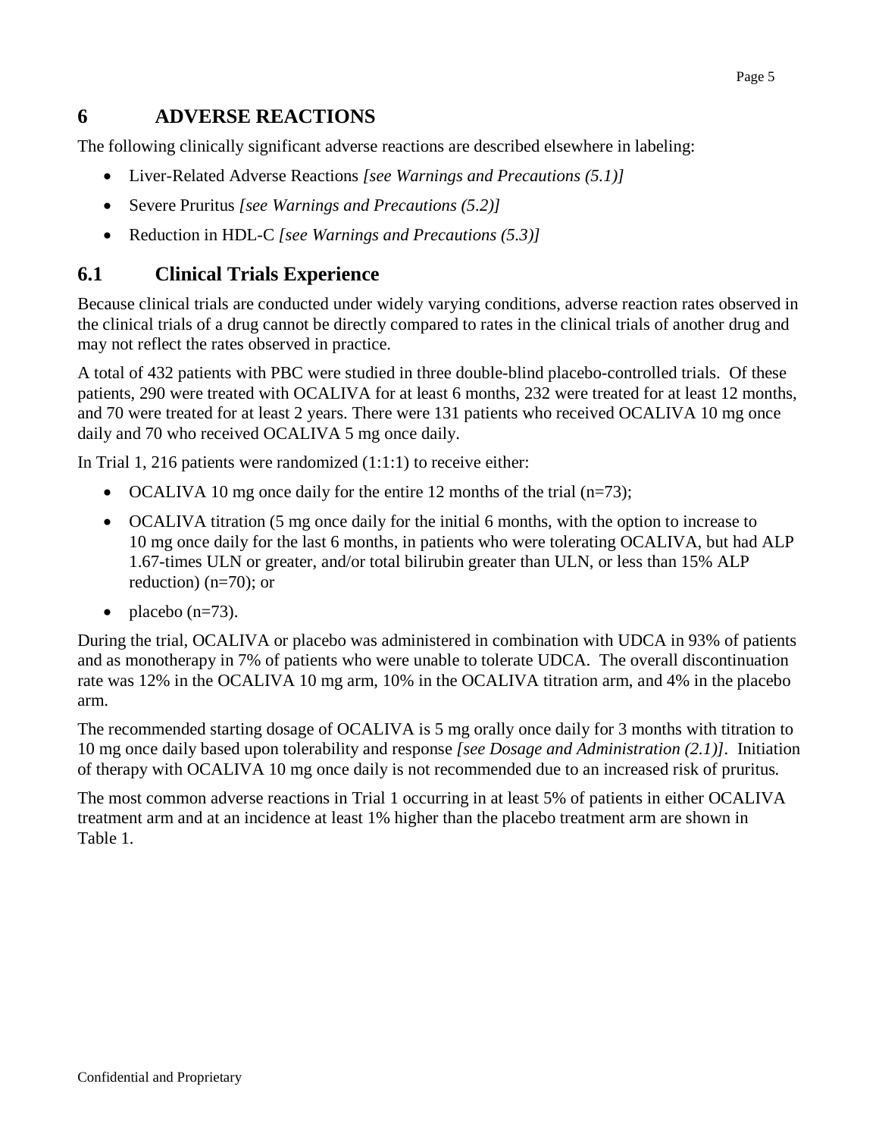## <span id="page-4-0"></span>**6 ADVERSE REACTIONS**

The following clinically significant adverse reactions are described elsewhere in labeling:

- Liver-Related Adverse Reactions *[see Warnings and Precautions (5.1)]*
- Severe Pruritus *[see Warnings and Precautions (5.2)]*
- Reduction in HDL-C *[see Warnings and Precautions (5.3)]*

## **6.1 Clinical Trials Experience**

Because clinical trials are conducted under widely varying conditions, adverse reaction rates observed in the clinical trials of a drug cannot be directly compared to rates in the clinical trials of another drug and may not reflect the rates observed in practice.

A total of 432 patients with PBC were studied in three double-blind placebo-controlled trials. Of these patients, 290 were treated with OCALIVA for at least 6 months, 232 were treated for at least 12 months, and 70 were treated for at least 2 years. There were 131 patients who received OCALIVA 10 mg once daily and 70 who received OCALIVA 5 mg once daily.

In Trial 1, 216 patients were randomized (1:1:1) to receive either:

- OCALIVA 10 mg once daily for the entire 12 months of the trial  $(n=73)$ ;
- OCALIVA titration (5 mg once daily for the initial 6 months, with the option to increase to 10 mg once daily for the last 6 months, in patients who were tolerating OCALIVA, but had ALP 1.67-times ULN or greater, and/or total bilirubin greater than ULN, or less than 15% ALP reduction) (n=70); or
- $\bullet$  placebo (n=73).

During the trial, OCALIVA or placebo was administered in combination with UDCA in 93% of patients and as monotherapy in 7% of patients who were unable to tolerate UDCA. The overall discontinuation rate was 12% in the OCALIVA 10 mg arm, 10% in the OCALIVA titration arm, and 4% in the placebo arm.

The recommended starting dosage of OCALIVA is 5 mg orally once daily for 3 months with titration to 10 mg once daily based upon tolerability and response *[see Dosage and Administration (2.1)].* Initiation of therapy with OCALIVA 10 mg once daily is not recommended due to an increased risk of pruritus*.*

The most common adverse reactions in Trial 1 occurring in at least 5% of patients in either OCALIVA treatment arm and at an incidence at least 1% higher than the placebo treatment arm are shown in Table 1.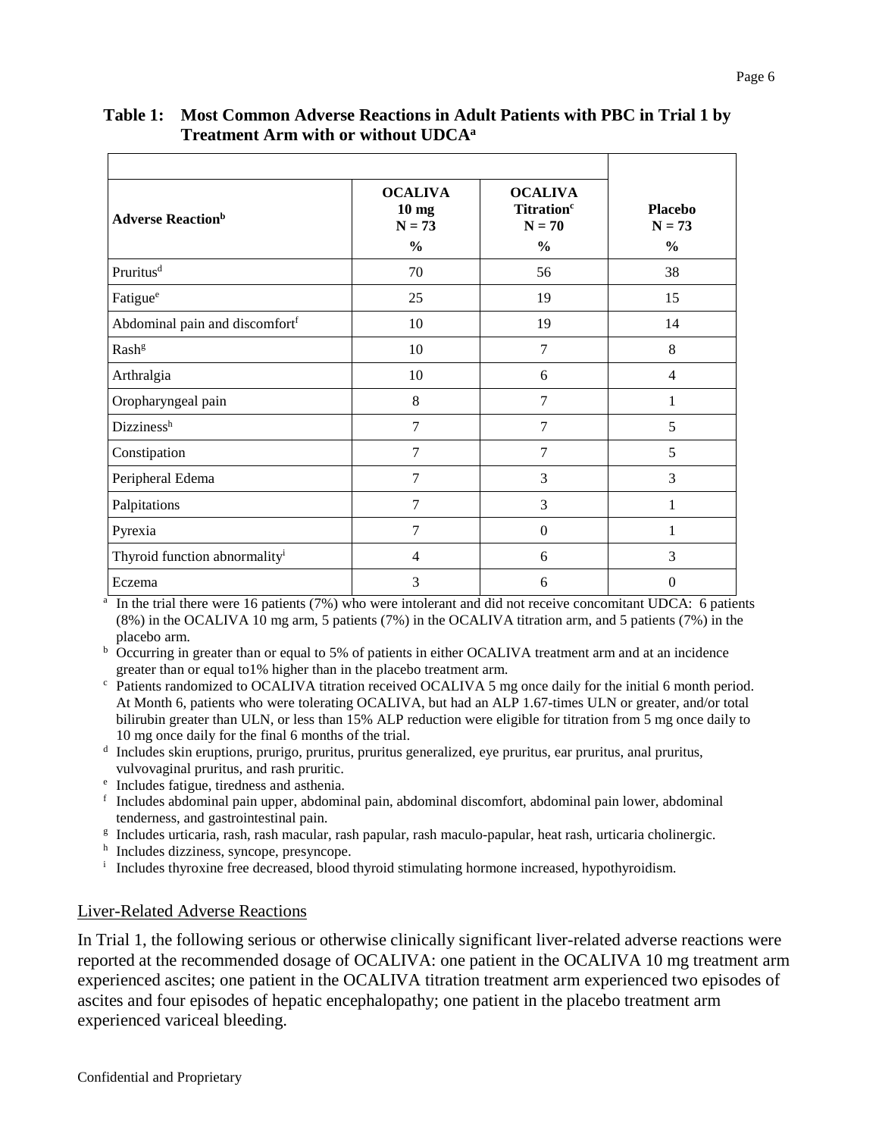| Table 1: Most Common Adverse Reactions in Adult Patients with PBC in Trial 1 by |
|---------------------------------------------------------------------------------|
| Treatment Arm with or without UDCA <sup>a</sup>                                 |

| <b>Adverse Reaction</b> b                  | <b>OCALIVA</b><br>10 <sub>mg</sub><br>$N = 73$ | <b>OCALIVA</b><br>Titration <sup>c</sup><br>$N = 70$ | <b>Placebo</b><br>$N = 73$ |
|--------------------------------------------|------------------------------------------------|------------------------------------------------------|----------------------------|
|                                            | $\frac{0}{0}$                                  | $\frac{0}{0}$                                        | $\frac{0}{0}$              |
| Pruritus <sup>d</sup>                      | 70                                             | 56                                                   | 38                         |
| Fatigue <sup>e</sup>                       | 25                                             | 19                                                   | 15                         |
| Abdominal pain and discomfort <sup>f</sup> | 10                                             | 19                                                   | 14                         |
| Rash <sup>g</sup>                          | 10                                             | $\overline{7}$                                       | 8                          |
| Arthralgia                                 | 10                                             | 6                                                    | $\overline{4}$             |
| Oropharyngeal pain                         | 8                                              | $\overline{7}$                                       | 1                          |
| Dizzinessh                                 | $\overline{7}$                                 | $\overline{7}$                                       | 5                          |
| Constipation                               | 7                                              | $\overline{7}$                                       | 5                          |
| Peripheral Edema                           | $\overline{7}$                                 | 3                                                    | 3                          |
| Palpitations                               | 7                                              | 3                                                    | 1                          |
| Pyrexia                                    | 7                                              | $\theta$                                             | 1                          |
| Thyroid function abnormality <sup>i</sup>  | 4                                              | 6                                                    | 3                          |
| Eczema                                     | 3                                              | 6                                                    | $\theta$                   |

<sup>a</sup> In the trial there were 16 patients (7%) who were intolerant and did not receive concomitant UDCA: 6 patients (8%) in the OCALIVA 10 mg arm, 5 patients (7%) in the OCALIVA titration arm, and 5 patients (7%) in the placebo arm.

<sup>b</sup> Occurring in greater than or equal to 5% of patients in either OCALIVA treatment arm and at an incidence greater than or equal to1% higher than in the placebo treatment arm.

<sup>c</sup> Patients randomized to OCALIVA titration received OCALIVA 5 mg once daily for the initial 6 month period. At Month 6, patients who were tolerating OCALIVA, but had an ALP 1.67-times ULN or greater, and/or total bilirubin greater than ULN, or less than 15% ALP reduction were eligible for titration from 5 mg once daily to 10 mg once daily for the final 6 months of the trial.

<sup>d</sup> Includes skin eruptions, prurigo, pruritus, pruritus generalized, eye pruritus, ear pruritus, anal pruritus, vulvovaginal pruritus, and rash pruritic.

- <sup>e</sup> Includes fatigue, tiredness and asthenia.
- <sup>f</sup> Includes abdominal pain upper, abdominal pain, abdominal discomfort, abdominal pain lower, abdominal tenderness, and gastrointestinal pain.
- <sup>g</sup> Includes urticaria, rash, rash macular, rash papular, rash maculo-papular, heat rash, urticaria cholinergic.
- h Includes dizziness, syncope, presyncope.
- <sup>i</sup> Includes thyroxine free decreased, blood thyroid stimulating hormone increased, hypothyroidism.

#### Liver-Related Adverse Reactions

In Trial 1, the following serious or otherwise clinically significant liver-related adverse reactions were reported at the recommended dosage of OCALIVA: one patient in the OCALIVA 10 mg treatment arm experienced ascites; one patient in the OCALIVA titration treatment arm experienced two episodes of ascites and four episodes of hepatic encephalopathy; one patient in the placebo treatment arm experienced variceal bleeding.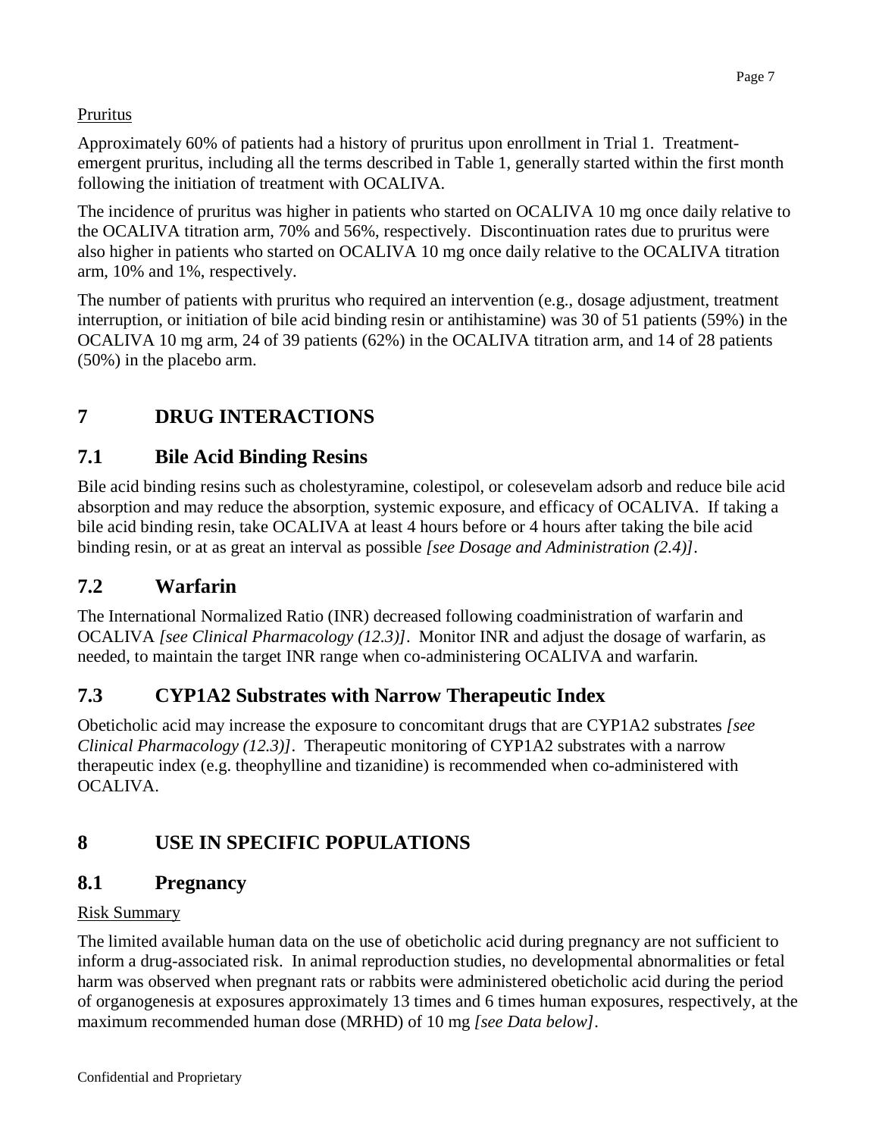## Pruritus

Approximately 60% of patients had a history of pruritus upon enrollment in Trial 1. Treatmentemergent pruritus, including all the terms described in Table 1, generally started within the first month following the initiation of treatment with OCALIVA.

The incidence of pruritus was higher in patients who started on OCALIVA 10 mg once daily relative to the OCALIVA titration arm, 70% and 56%, respectively. Discontinuation rates due to pruritus were also higher in patients who started on OCALIVA 10 mg once daily relative to the OCALIVA titration arm, 10% and 1%, respectively.

The number of patients with pruritus who required an intervention (e.g., dosage adjustment, treatment interruption, or initiation of bile acid binding resin or antihistamine) was 30 of 51 patients (59%) in the OCALIVA 10 mg arm, 24 of 39 patients (62%) in the OCALIVA titration arm, and 14 of 28 patients (50%) in the placebo arm.

# <span id="page-6-0"></span>**7 DRUG INTERACTIONS**

## **7.1 Bile Acid Binding Resins**

Bile acid binding resins such as cholestyramine, colestipol, or colesevelam adsorb and reduce bile acid absorption and may reduce the absorption, systemic exposure, and efficacy of OCALIVA. If taking a bile acid binding resin, take OCALIVA at least 4 hours before or 4 hours after taking the bile acid binding resin, or at as great an interval as possible *[see Dosage and Administration (2.4)]*.

## **7.2 Warfarin**

The International Normalized Ratio (INR) decreased following coadministration of warfarin and OCALIVA *[see Clinical Pharmacology (12.3)]*. Monitor INR and adjust the dosage of warfarin, as needed, to maintain the target INR range when co-administering OCALIVA and warfarin*.*

## **7.3 CYP1A2 Substrates with Narrow Therapeutic Index**

Obeticholic acid may increase the exposure to concomitant drugs that are CYP1A2 substrates *[see Clinical Pharmacology (12.3)]*. Therapeutic monitoring of CYP1A2 substrates with a narrow therapeutic index (e.g. theophylline and tizanidine) is recommended when co-administered with OCALIVA.

# <span id="page-6-1"></span>**8 USE IN SPECIFIC POPULATIONS**

## <span id="page-6-2"></span>**8.1 Pregnancy**

## Risk Summary

The limited available human data on the use of obeticholic acid during pregnancy are not sufficient to inform a drug-associated risk. In animal reproduction studies, no developmental abnormalities or fetal harm was observed when pregnant rats or rabbits were administered obeticholic acid during the period of organogenesis at exposures approximately 13 times and 6 times human exposures, respectively, at the maximum recommended human dose (MRHD) of 10 mg *[see Data below]*.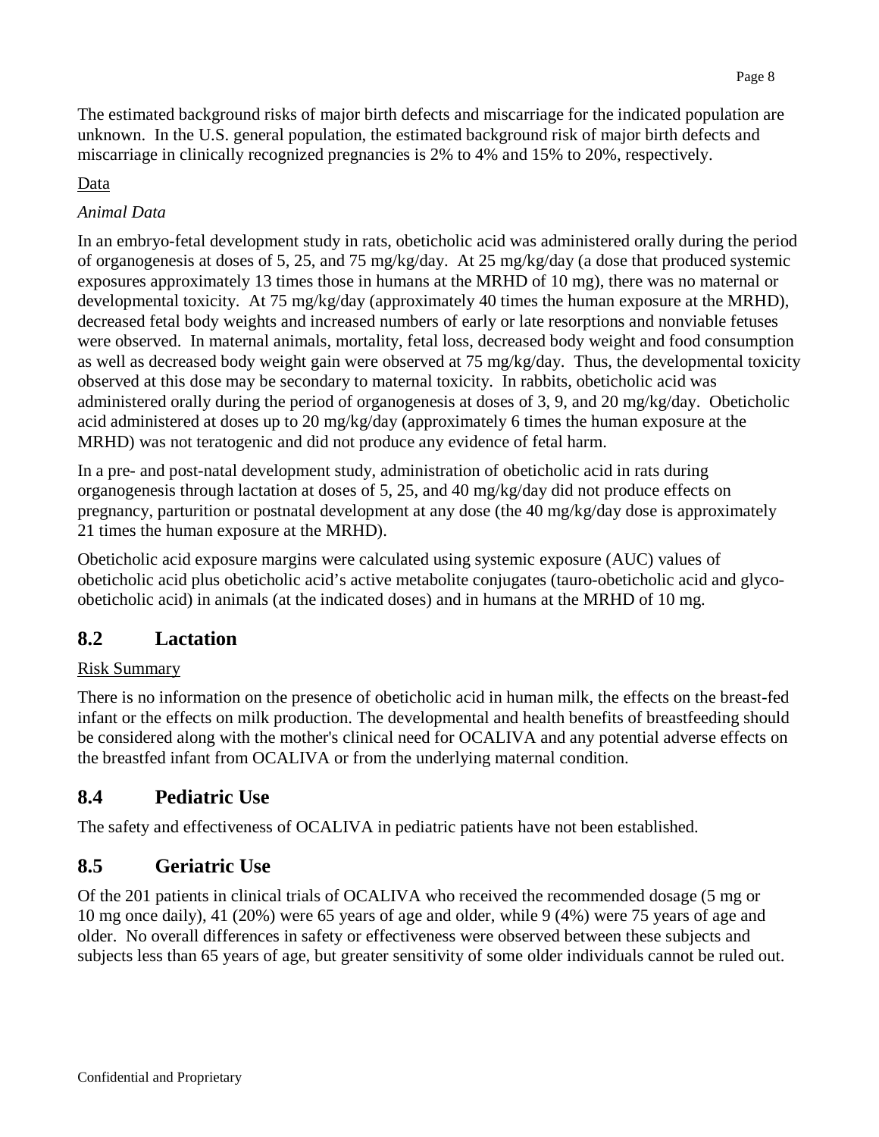The estimated background risks of major birth defects and miscarriage for the indicated population are unknown. In the U.S. general population, the estimated background risk of major birth defects and miscarriage in clinically recognized pregnancies is 2% to 4% and 15% to 20%, respectively.

## Data

## *Animal Data*

In an embryo-fetal development study in rats, obeticholic acid was administered orally during the period of organogenesis at doses of 5, 25, and 75 mg/kg/day. At 25 mg/kg/day (a dose that produced systemic exposures approximately 13 times those in humans at the MRHD of 10 mg), there was no maternal or developmental toxicity. At 75 mg/kg/day (approximately 40 times the human exposure at the MRHD), decreased fetal body weights and increased numbers of early or late resorptions and nonviable fetuses were observed. In maternal animals, mortality, fetal loss, decreased body weight and food consumption as well as decreased body weight gain were observed at 75 mg/kg/day. Thus, the developmental toxicity observed at this dose may be secondary to maternal toxicity. In rabbits, obeticholic acid was administered orally during the period of organogenesis at doses of 3, 9, and 20 mg/kg/day. Obeticholic acid administered at doses up to 20 mg/kg/day (approximately 6 times the human exposure at the MRHD) was not teratogenic and did not produce any evidence of fetal harm.

In a pre- and post-natal development study, administration of obeticholic acid in rats during organogenesis through lactation at doses of 5, 25, and 40 mg/kg/day did not produce effects on pregnancy, parturition or postnatal development at any dose (the 40 mg/kg/day dose is approximately 21 times the human exposure at the MRHD).

Obeticholic acid exposure margins were calculated using systemic exposure (AUC) values of obeticholic acid plus obeticholic acid's active metabolite conjugates (tauro-obeticholic acid and glycoobeticholic acid) in animals (at the indicated doses) and in humans at the MRHD of 10 mg.

## <span id="page-7-0"></span>**8.2 Lactation**

## Risk Summary

There is no information on the presence of obeticholic acid in human milk, the effects on the breast-fed infant or the effects on milk production. The developmental and health benefits of breastfeeding should be considered along with the mother's clinical need for OCALIVA and any potential adverse effects on the breastfed infant from OCALIVA or from the underlying maternal condition.

# <span id="page-7-1"></span>**8.4 Pediatric Use**

The safety and effectiveness of OCALIVA in pediatric patients have not been established.

# <span id="page-7-2"></span>**8.5 Geriatric Use**

Of the 201 patients in clinical trials of OCALIVA who received the recommended dosage (5 mg or 10 mg once daily), 41 (20%) were 65 years of age and older, while 9 (4%) were 75 years of age and older. No overall differences in safety or effectiveness were observed between these subjects and subjects less than 65 years of age, but greater sensitivity of some older individuals cannot be ruled out.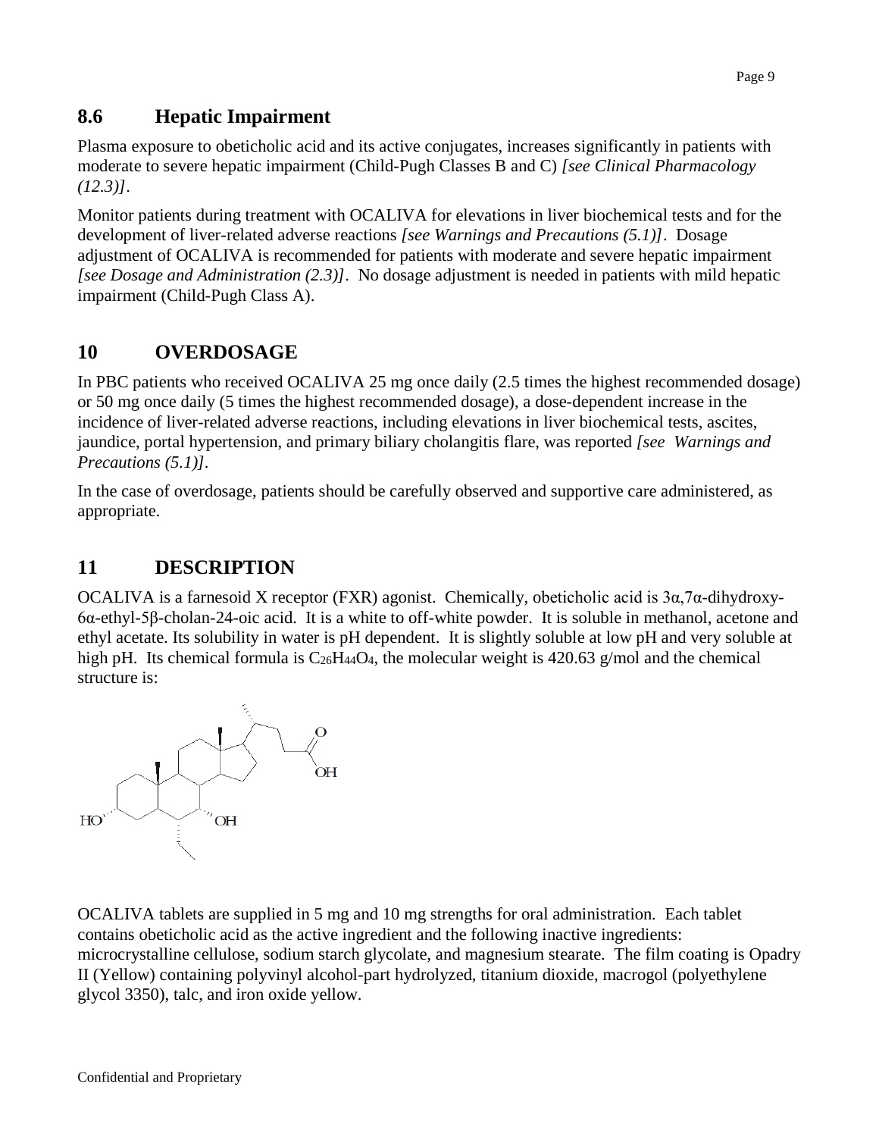## **8.6 Hepatic Impairment**

<span id="page-8-0"></span>Plasma exposure to obeticholic acid and its active conjugates, increases significantly in patients with moderate to severe hepatic impairment (Child-Pugh Classes B and C) *[see Clinical Pharmacology (12.3)]*.

Monitor patients during treatment with OCALIVA for elevations in liver biochemical tests and for the development of liver-related adverse reactions *[see Warnings and Precautions (5.1)]*. Dosage adjustment of OCALIVA is recommended for patients with moderate and severe hepatic impairment *[see Dosage and Administration (2.3)]*. No dosage adjustment is needed in patients with mild hepatic impairment (Child-Pugh Class A).

## **10 OVERDOSAGE**

In PBC patients who received OCALIVA 25 mg once daily (2.5 times the highest recommended dosage) or 50 mg once daily (5 times the highest recommended dosage), a dose-dependent increase in the incidence of liver-related adverse reactions, including elevations in liver biochemical tests, ascites, jaundice, portal hypertension, and primary biliary cholangitis flare, was reported *[see Warnings and Precautions (5.1)].*

In the case of overdosage, patients should be carefully observed and supportive care administered, as appropriate.

## <span id="page-8-1"></span>**11 DESCRIPTION**

OCALIVA is a farnesoid X receptor (FXR) agonist. Chemically, obeticholic acid is 3α,7α-dihydroxy-6α-ethyl-5β-cholan-24-oic acid. It is a white to off-white powder. It is soluble in methanol, acetone and ethyl acetate. Its solubility in water is pH dependent. It is slightly soluble at low pH and very soluble at high pH. Its chemical formula is  $C_{26}H_{44}O_4$ , the molecular weight is 420.63 g/mol and the chemical structure is:



OCALIVA tablets are supplied in 5 mg and 10 mg strengths for oral administration. Each tablet contains obeticholic acid as the active ingredient and the following inactive ingredients: microcrystalline cellulose, sodium starch glycolate, and magnesium stearate. The film coating is Opadry II (Yellow) containing polyvinyl alcohol-part hydrolyzed, titanium dioxide, macrogol (polyethylene glycol 3350), talc, and iron oxide yellow.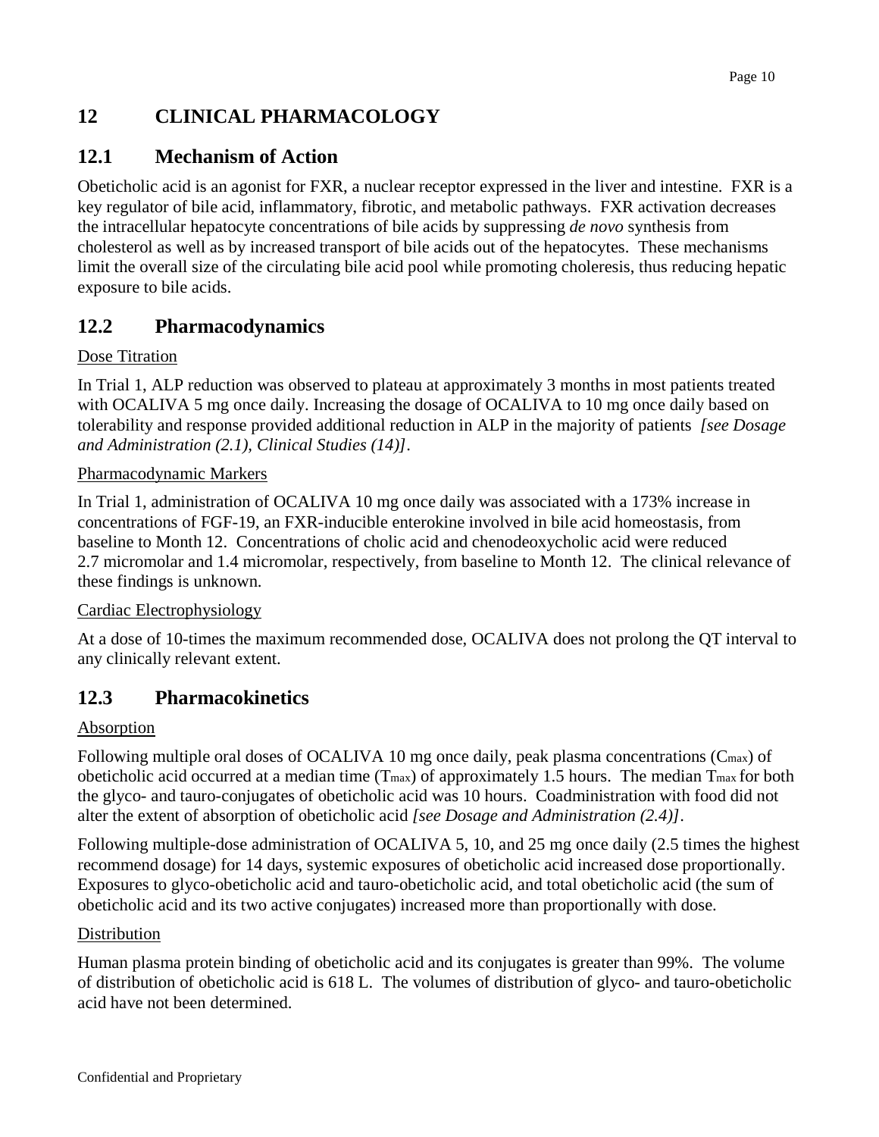# <span id="page-9-0"></span>**12 CLINICAL PHARMACOLOGY**

## <span id="page-9-1"></span>**12.1 Mechanism of Action**

Obeticholic acid is an agonist for FXR, a nuclear receptor expressed in the liver and intestine. FXR is a key regulator of bile acid, inflammatory, fibrotic, and metabolic pathways. FXR activation decreases the intracellular hepatocyte concentrations of bile acids by suppressing *de novo* synthesis from cholesterol as well as by increased transport of bile acids out of the hepatocytes. These mechanisms limit the overall size of the circulating bile acid pool while promoting choleresis, thus reducing hepatic exposure to bile acids.

## <span id="page-9-2"></span>**12.2 Pharmacodynamics**

### Dose Titration

In Trial 1, ALP reduction was observed to plateau at approximately 3 months in most patients treated with OCALIVA 5 mg once daily. Increasing the dosage of OCALIVA to 10 mg once daily based on tolerability and response provided additional reduction in ALP in the majority of patients *[see Dosage and Administration (2.1), Clinical Studies (14)]*.

### Pharmacodynamic Markers

In Trial 1, administration of OCALIVA 10 mg once daily was associated with a 173% increase in concentrations of FGF-19, an FXR-inducible enterokine involved in bile acid homeostasis, from baseline to Month 12. Concentrations of cholic acid and chenodeoxycholic acid were reduced 2.7 micromolar and 1.4 micromolar, respectively, from baseline to Month 12. The clinical relevance of these findings is unknown.

### Cardiac Electrophysiology

At a dose of 10-times the maximum recommended dose, OCALIVA does not prolong the QT interval to any clinically relevant extent.

## <span id="page-9-3"></span>**12.3 Pharmacokinetics**

### Absorption

Following multiple oral doses of OCALIVA 10 mg once daily, peak plasma concentrations (C<sub>max</sub>) of obeticholic acid occurred at a median time (Tmax) of approximately 1.5 hours. The median Tmax for both the glyco- and tauro-conjugates of obeticholic acid was 10 hours. Coadministration with food did not alter the extent of absorption of obeticholic acid *[see Dosage and Administration (2.4)]*.

Following multiple-dose administration of OCALIVA 5, 10, and 25 mg once daily (2.5 times the highest recommend dosage) for 14 days, systemic exposures of obeticholic acid increased dose proportionally. Exposures to glyco-obeticholic acid and tauro-obeticholic acid, and total obeticholic acid (the sum of obeticholic acid and its two active conjugates) increased more than proportionally with dose.

### **Distribution**

Human plasma protein binding of obeticholic acid and its conjugates is greater than 99%. The volume of distribution of obeticholic acid is 618 L. The volumes of distribution of glyco- and tauro-obeticholic acid have not been determined.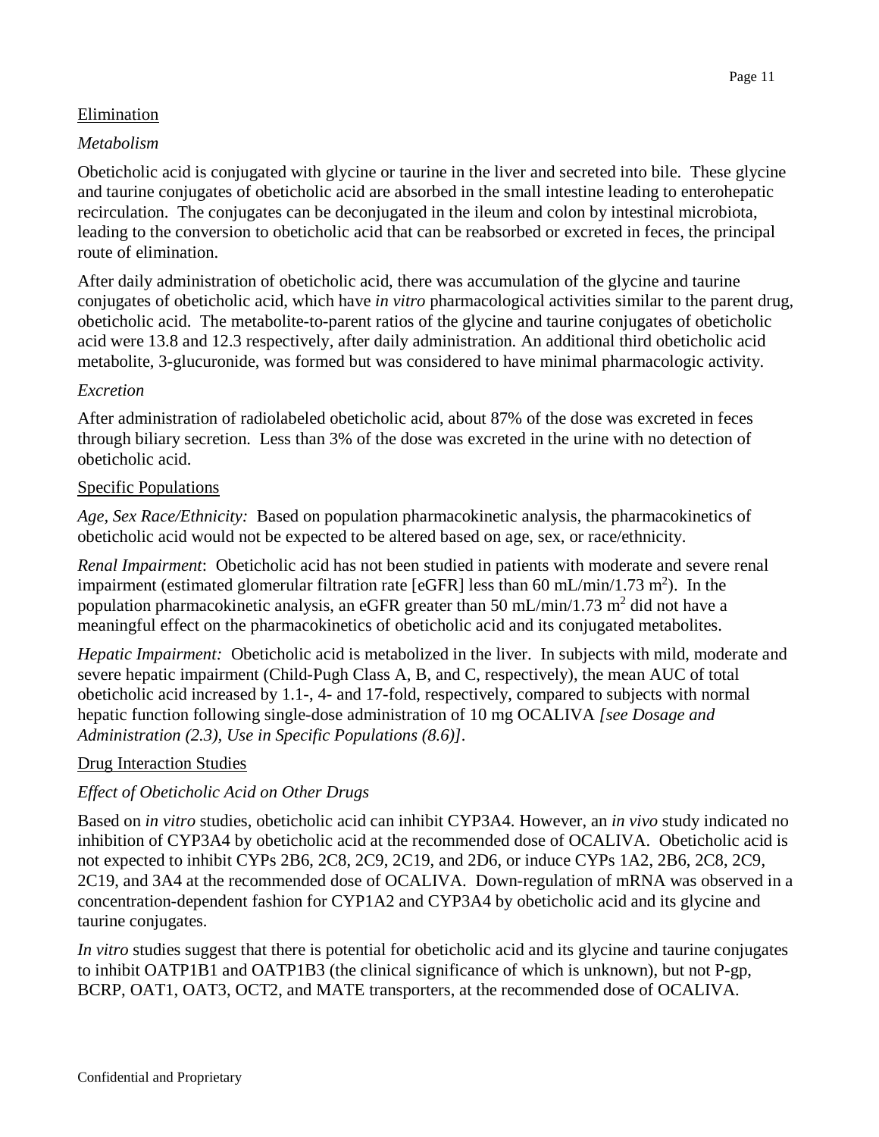#### Elimination

#### *Metabolism*

Obeticholic acid is conjugated with glycine or taurine in the liver and secreted into bile. These glycine and taurine conjugates of obeticholic acid are absorbed in the small intestine leading to enterohepatic recirculation. The conjugates can be deconjugated in the ileum and colon by intestinal microbiota, leading to the conversion to obeticholic acid that can be reabsorbed or excreted in feces, the principal route of elimination.

After daily administration of obeticholic acid, there was accumulation of the glycine and taurine conjugates of obeticholic acid, which have *in vitro* pharmacological activities similar to the parent drug, obeticholic acid. The metabolite-to-parent ratios of the glycine and taurine conjugates of obeticholic acid were 13.8 and 12.3 respectively, after daily administration. An additional third obeticholic acid metabolite, 3-glucuronide, was formed but was considered to have minimal pharmacologic activity.

#### *Excretion*

After administration of radiolabeled obeticholic acid, about 87% of the dose was excreted in feces through biliary secretion. Less than 3% of the dose was excreted in the urine with no detection of obeticholic acid.

#### Specific Populations

*Age, Sex Race/Ethnicity:* Based on population pharmacokinetic analysis, the pharmacokinetics of obeticholic acid would not be expected to be altered based on age, sex, or race/ethnicity.

*Renal Impairment*: Obeticholic acid has not been studied in patients with moderate and severe renal impairment (estimated glomerular filtration rate [eGFR] less than 60 mL/min/1.73 m<sup>2</sup>). In the population pharmacokinetic analysis, an eGFR greater than 50 mL/min/1.73 m<sup>2</sup> did not have a meaningful effect on the pharmacokinetics of obeticholic acid and its conjugated metabolites.

*Hepatic Impairment:* Obeticholic acid is metabolized in the liver. In subjects with mild, moderate and severe hepatic impairment (Child-Pugh Class A, B, and C, respectively), the mean AUC of total obeticholic acid increased by 1.1-, 4- and 17-fold, respectively, compared to subjects with normal hepatic function following single-dose administration of 10 mg OCALIVA *[see Dosage and Administration (2.3), Use in Specific Populations (8.6)].*

### Drug Interaction Studies

### *Effect of Obeticholic Acid on Other Drugs*

Based on *in vitro* studies, obeticholic acid can inhibit CYP3A4. However, an *in vivo* study indicated no inhibition of CYP3A4 by obeticholic acid at the recommended dose of OCALIVA. Obeticholic acid is not expected to inhibit CYPs 2B6, 2C8, 2C9, 2C19, and 2D6, or induce CYPs 1A2, 2B6, 2C8, 2C9, 2C19, and 3A4 at the recommended dose of OCALIVA. Down-regulation of mRNA was observed in a concentration-dependent fashion for CYP1A2 and CYP3A4 by obeticholic acid and its glycine and taurine conjugates.

*In vitro* studies suggest that there is potential for obeticholic acid and its glycine and taurine conjugates to inhibit OATP1B1 and OATP1B3 (the clinical significance of which is unknown), but not P-gp, BCRP, OAT1, OAT3, OCT2, and MATE transporters, at the recommended dose of OCALIVA.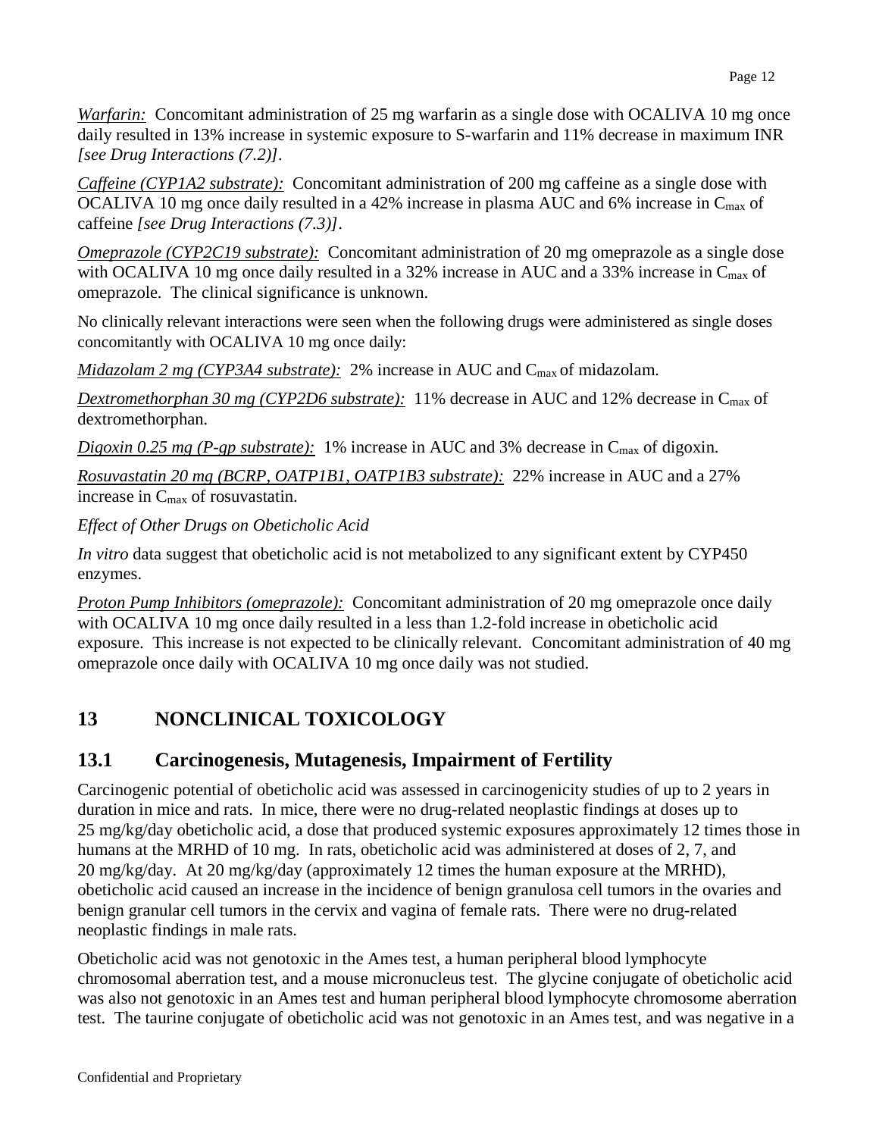*Warfarin:* Concomitant administration of 25 mg warfarin as a single dose with OCALIVA 10 mg once daily resulted in 13% increase in systemic exposure to S-warfarin and 11% decrease in maximum INR *[see Drug Interactions (7.2)].*

*Caffeine (CYP1A2 substrate):* Concomitant administration of 200 mg caffeine as a single dose with OCALIVA 10 mg once daily resulted in a 42% increase in plasma AUC and 6% increase in C<sub>max</sub> of caffeine *[see Drug Interactions (7.3)]*.

*Omeprazole (CYP2C19 substrate):* Concomitant administration of 20 mg omeprazole as a single dose with OCALIVA 10 mg once daily resulted in a 32% increase in AUC and a 33% increase in C<sub>max</sub> of omeprazole. The clinical significance is unknown.

No clinically relevant interactions were seen when the following drugs were administered as single doses concomitantly with OCALIVA 10 mg once daily:

*Midazolam* 2 mg (*CYP3A4 substrate*): 2% increase in AUC and C<sub>max</sub> of midazolam.

*Dextromethorphan 30 mg (CYP2D6 substrate):* 11% decrease in AUC and 12% decrease in Cmax of dextromethorphan.

*Digoxin* 0.25 mg (*P-gp substrate*): 1% increase in AUC and 3% decrease in C<sub>max</sub> of digoxin.

*Rosuvastatin 20 mg (BCRP, OATP1B1, OATP1B3 substrate):* 22% increase in AUC and a 27% increase in Cmax of rosuvastatin.

*Effect of Other Drugs on Obeticholic Acid* 

*In vitro* data suggest that obeticholic acid is not metabolized to any significant extent by CYP450 enzymes.

*Proton Pump Inhibitors (omeprazole):* Concomitant administration of 20 mg omeprazole once daily with OCALIVA 10 mg once daily resulted in a less than 1.2-fold increase in obeticholic acid exposure. This increase is not expected to be clinically relevant. Concomitant administration of 40 mg omeprazole once daily with OCALIVA 10 mg once daily was not studied.

# <span id="page-11-0"></span>**13 NONCLINICAL TOXICOLOGY**

## <span id="page-11-1"></span>**13.1 Carcinogenesis, Mutagenesis, Impairment of Fertility**

Carcinogenic potential of obeticholic acid was assessed in carcinogenicity studies of up to 2 years in duration in mice and rats. In mice, there were no drug-related neoplastic findings at doses up to 25 mg/kg/day obeticholic acid, a dose that produced systemic exposures approximately 12 times those in humans at the MRHD of 10 mg. In rats, obeticholic acid was administered at doses of 2, 7, and 20 mg/kg/day. At 20 mg/kg/day (approximately 12 times the human exposure at the MRHD), obeticholic acid caused an increase in the incidence of benign granulosa cell tumors in the ovaries and benign granular cell tumors in the cervix and vagina of female rats. There were no drug-related neoplastic findings in male rats.

Obeticholic acid was not genotoxic in the Ames test, a human peripheral blood lymphocyte chromosomal aberration test, and a mouse micronucleus test. The glycine conjugate of obeticholic acid was also not genotoxic in an Ames test and human peripheral blood lymphocyte chromosome aberration test. The taurine conjugate of obeticholic acid was not genotoxic in an Ames test, and was negative in a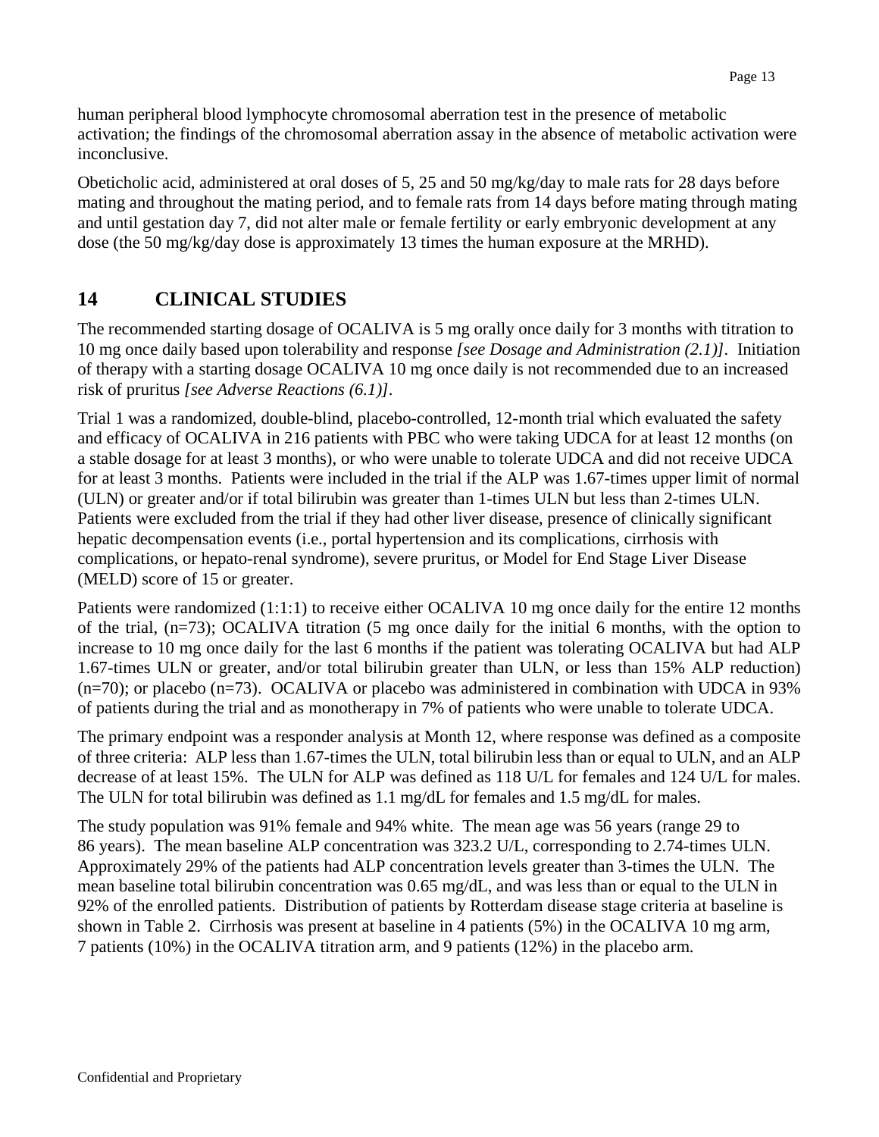human peripheral blood lymphocyte chromosomal aberration test in the presence of metabolic activation; the findings of the chromosomal aberration assay in the absence of metabolic activation were inconclusive.

Obeticholic acid, administered at oral doses of 5, 25 and 50 mg/kg/day to male rats for 28 days before mating and throughout the mating period, and to female rats from 14 days before mating through mating and until gestation day 7, did not alter male or female fertility or early embryonic development at any dose (the 50 mg/kg/day dose is approximately 13 times the human exposure at the MRHD).

# <span id="page-12-0"></span>**14 CLINICAL STUDIES**

The recommended starting dosage of OCALIVA is 5 mg orally once daily for 3 months with titration to 10 mg once daily based upon tolerability and response *[see Dosage and Administration (2.1)].* Initiation of therapy with a starting dosage OCALIVA 10 mg once daily is not recommended due to an increased risk of pruritus *[see Adverse Reactions (6.1)].*

Trial 1 was a randomized, double-blind, placebo-controlled, 12-month trial which evaluated the safety and efficacy of OCALIVA in 216 patients with PBC who were taking UDCA for at least 12 months (on a stable dosage for at least 3 months), or who were unable to tolerate UDCA and did not receive UDCA for at least 3 months. Patients were included in the trial if the ALP was 1.67-times upper limit of normal (ULN) or greater and/or if total bilirubin was greater than 1-times ULN but less than 2-times ULN. Patients were excluded from the trial if they had other liver disease, presence of clinically significant hepatic decompensation events (i.e., portal hypertension and its complications, cirrhosis with complications, or hepato-renal syndrome), severe pruritus, or Model for End Stage Liver Disease (MELD) score of 15 or greater.

Patients were randomized (1:1:1) to receive either OCALIVA 10 mg once daily for the entire 12 months of the trial, (n=73); OCALIVA titration (5 mg once daily for the initial 6 months, with the option to increase to 10 mg once daily for the last 6 months if the patient was tolerating OCALIVA but had ALP 1.67-times ULN or greater, and/or total bilirubin greater than ULN, or less than 15% ALP reduction)  $(n=70)$ ; or placebo  $(n=73)$ . OCALIVA or placebo was administered in combination with UDCA in 93% of patients during the trial and as monotherapy in 7% of patients who were unable to tolerate UDCA.

The primary endpoint was a responder analysis at Month 12, where response was defined as a composite of three criteria: ALP less than 1.67-times the ULN, total bilirubin less than or equal to ULN, and an ALP decrease of at least 15%. The ULN for ALP was defined as 118 U/L for females and 124 U/L for males. The ULN for total bilirubin was defined as 1.1 mg/dL for females and 1.5 mg/dL for males.

The study population was 91% female and 94% white. The mean age was 56 years (range 29 to 86 years). The mean baseline ALP concentration was 323.2 U/L, corresponding to 2.74-times ULN. Approximately 29% of the patients had ALP concentration levels greater than 3-times the ULN. The mean baseline total bilirubin concentration was 0.65 mg/dL, and was less than or equal to the ULN in 92% of the enrolled patients. Distribution of patients by Rotterdam disease stage criteria at baseline is shown in Table 2. Cirrhosis was present at baseline in 4 patients (5%) in the OCALIVA 10 mg arm, 7 patients (10%) in the OCALIVA titration arm, and 9 patients (12%) in the placebo arm.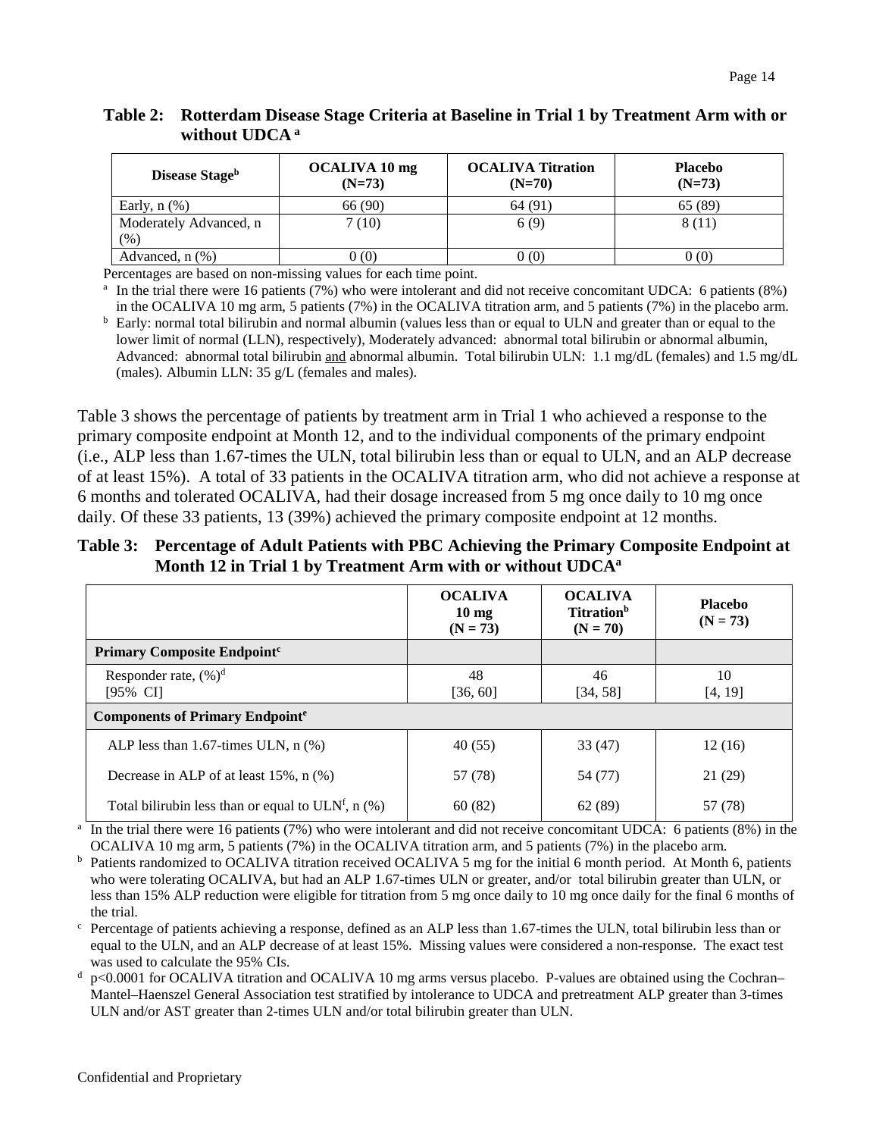| Disease Stage <sup>b</sup>    | OCALIVA 10 mg<br>$(N=73)$ | <b>OCALIVA Titration</b><br>$(N=70)$ | <b>Placebo</b><br>$(N=73)$ |
|-------------------------------|---------------------------|--------------------------------------|----------------------------|
| Early, $n$ $(\%)$             | 66 (90)                   | 64(91)                               | 65 (89)                    |
| Moderately Advanced, n<br>(%) | 7(10)                     | 6(9)                                 | 8 (11)                     |
| Advanced, $n$ $(\%)$          | 0(0)                      | 0(0)                                 | 0(0)                       |

#### **Table 2: Rotterdam Disease Stage Criteria at Baseline in Trial 1 by Treatment Arm with or without UDCA <sup>a</sup>**

Percentages are based on non-missing values for each time point.

<sup>a</sup> In the trial there were 16 patients (7%) who were intolerant and did not receive concomitant UDCA: 6 patients (8%) in the OCALIVA 10 mg arm, 5 patients (7%) in the OCALIVA titration arm, and 5 patients (7%) in the placebo arm.

b Early: normal total bilirubin and normal albumin (values less than or equal to ULN and greater than or equal to the lower limit of normal (LLN), respectively), Moderately advanced: abnormal total bilirubin or abnormal albumin, Advanced: abnormal total bilirubin and abnormal albumin. Total bilirubin ULN: 1.1 mg/dL (females) and 1.5 mg/dL (males). Albumin LLN: 35 g/L (females and males).

Table 3 shows the percentage of patients by treatment arm in Trial 1 who achieved a response to the primary composite endpoint at Month 12, and to the individual components of the primary endpoint (i.e., ALP less than 1.67-times the ULN, total bilirubin less than or equal to ULN, and an ALP decrease of at least 15%). A total of 33 patients in the OCALIVA titration arm, who did not achieve a response at 6 months and tolerated OCALIVA, had their dosage increased from 5 mg once daily to 10 mg once daily. Of these 33 patients, 13 (39%) achieved the primary composite endpoint at 12 months.

### **Table 3: Percentage of Adult Patients with PBC Achieving the Primary Composite Endpoint at Month 12 in Trial 1 by Treatment Arm with or without UDCAa**

|                                                                   | <b>OCALIVA</b><br>$10 \text{ mg}$<br>$(N = 73)$ | <b>OCALIVA</b><br><b>Titration</b> <sup>b</sup><br>$(N = 70)$ | <b>Placebo</b><br>$(N = 73)$ |  |
|-------------------------------------------------------------------|-------------------------------------------------|---------------------------------------------------------------|------------------------------|--|
| Primary Composite Endpoint <sup>c</sup>                           |                                                 |                                                               |                              |  |
| Responder rate, $(\%)^d$<br>$[95\% \ \text{CI}]$                  | 48<br>[36, 60]                                  | 46<br>[34, 58]                                                | 10<br>[4, 19]                |  |
| <b>Components of Primary Endpointe</b>                            |                                                 |                                                               |                              |  |
| ALP less than 1.67-times ULN, $n$ (%)                             | 40(55)                                          | 33(47)                                                        | 12(16)                       |  |
| Decrease in ALP of at least $15\%$ , n $(\%)$                     | 57 (78)                                         | 54 (77)                                                       | 21 (29)                      |  |
| Total bilirubin less than or equal to ULN <sup>f</sup> , n $(\%)$ | 60(82)                                          | 62 (89)                                                       | 57 (78)                      |  |

<sup>a</sup> In the trial there were 16 patients (7%) who were intolerant and did not receive concomitant UDCA: 6 patients (8%) in the OCALIVA 10 mg arm, 5 patients (7%) in the OCALIVA titration arm, and 5 patients (7%) in the placebo arm.

<sup>b</sup> Patients randomized to OCALIVA titration received OCALIVA 5 mg for the initial 6 month period. At Month 6, patients who were tolerating OCALIVA, but had an ALP 1.67-times ULN or greater, and/or total bilirubin greater than ULN, or less than 15% ALP reduction were eligible for titration from 5 mg once daily to 10 mg once daily for the final 6 months of the trial.

 $\epsilon$  Percentage of patients achieving a response, defined as an ALP less than 1.67-times the ULN, total bilirubin less than or equal to the ULN, and an ALP decrease of at least 15%. Missing values were considered a non-response. The exact test was used to calculate the 95% CIs.

p<0.0001 for OCALIVA titration and OCALIVA 10 mg arms versus placebo. P-values are obtained using the Cochran– Mantel–Haenszel General Association test stratified by intolerance to UDCA and pretreatment ALP greater than 3-times ULN and/or AST greater than 2-times ULN and/or total bilirubin greater than ULN.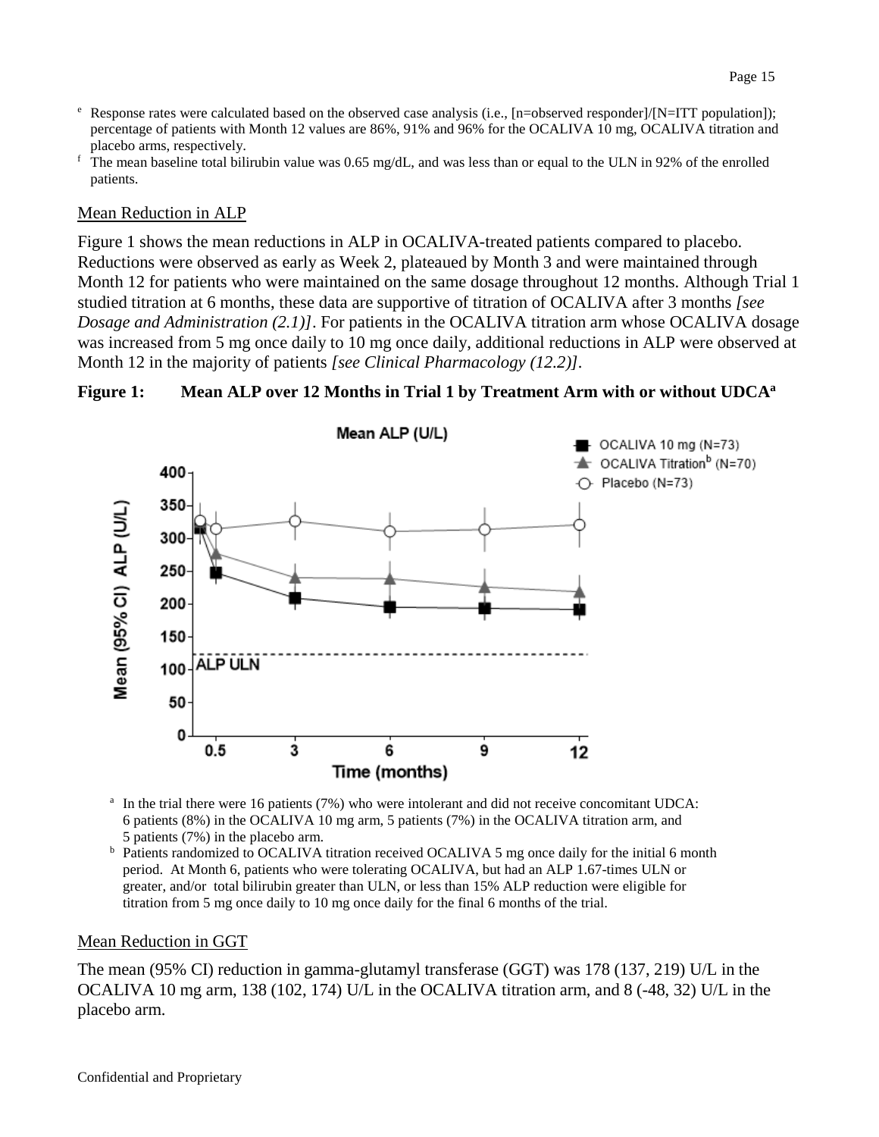- $e$  Response rates were calculated based on the observed case analysis (i.e., [n=observed responder]/[N=ITT population]); percentage of patients with Month 12 values are 86%, 91% and 96% for the OCALIVA 10 mg, OCALIVA titration and placebo arms, respectively.
- $\overline{f}$ . The mean baseline total bilirubin value was 0.65 mg/dL, and was less than or equal to the ULN in 92% of the enrolled patients.

#### Mean Reduction in ALP

Figure 1 shows the mean reductions in ALP in OCALIVA-treated patients compared to placebo. Reductions were observed as early as Week 2, plateaued by Month 3 and were maintained through Month 12 for patients who were maintained on the same dosage throughout 12 months. Although Trial 1 studied titration at 6 months, these data are supportive of titration of OCALIVA after 3 months *[see Dosage and Administration (2.1)]*. For patients in the OCALIVA titration arm whose OCALIVA dosage was increased from 5 mg once daily to 10 mg once daily, additional reductions in ALP were observed at Month 12 in the majority of patients *[see Clinical Pharmacology (12.2)].*

#### **Figure 1: Mean ALP over 12 Months in Trial 1 by Treatment Arm with or without UDCAa**



<sup>a</sup> In the trial there were 16 patients (7%) who were intolerant and did not receive concomitant UDCA: 6 patients (8%) in the OCALIVA 10 mg arm, 5 patients (7%) in the OCALIVA titration arm, and 5 patients (7%) in the placebo arm.

<sup>b</sup> Patients randomized to OCALIVA titration received OCALIVA 5 mg once daily for the initial 6 month period. At Month 6, patients who were tolerating OCALIVA, but had an ALP 1.67-times ULN or greater, and/or total bilirubin greater than ULN, or less than 15% ALP reduction were eligible for titration from 5 mg once daily to 10 mg once daily for the final 6 months of the trial.

#### Mean Reduction in GGT

The mean (95% CI) reduction in gamma-glutamyl transferase (GGT) was 178 (137, 219) U/L in the OCALIVA 10 mg arm, 138 (102, 174) U/L in the OCALIVA titration arm, and 8 (-48, 32) U/L in the placebo arm.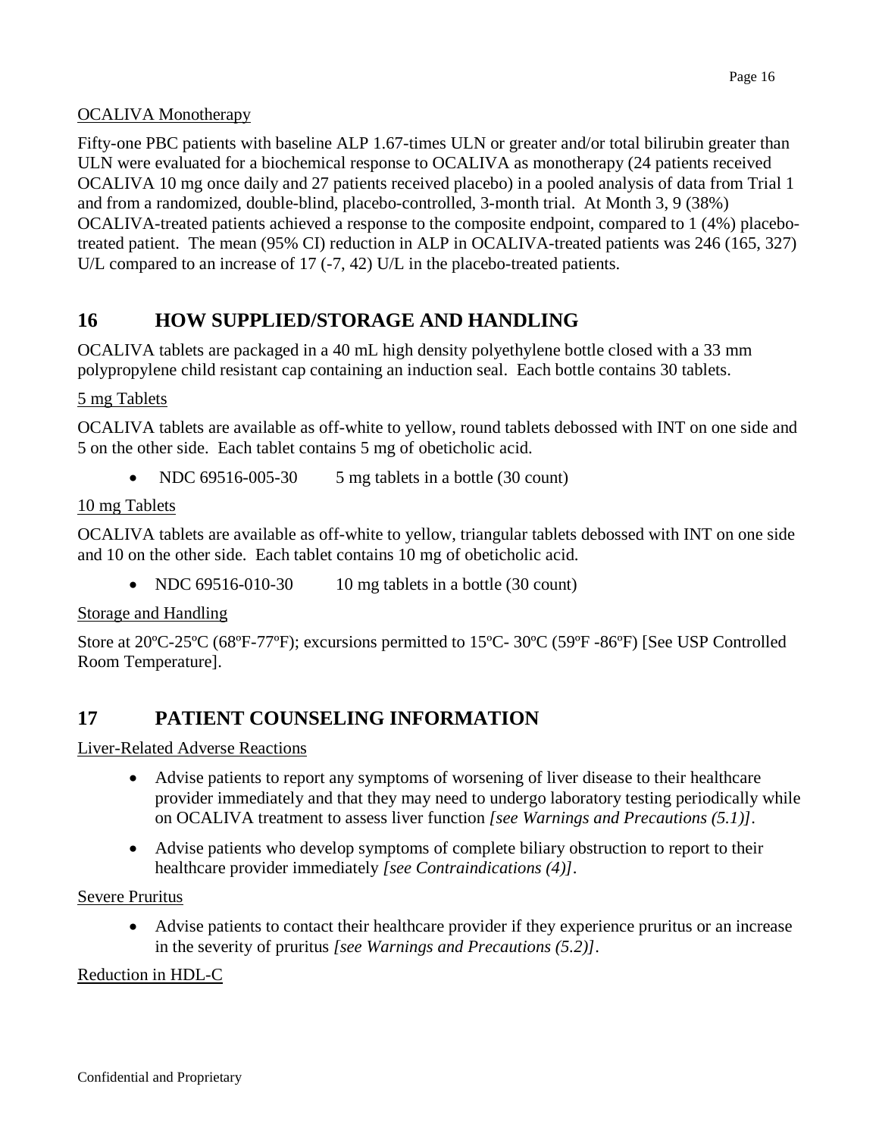## OCALIVA Monotherapy

Fifty-one PBC patients with baseline ALP 1.67-times ULN or greater and/or total bilirubin greater than ULN were evaluated for a biochemical response to OCALIVA as monotherapy (24 patients received OCALIVA 10 mg once daily and 27 patients received placebo) in a pooled analysis of data from Trial 1 and from a randomized, double-blind, placebo-controlled, 3-month trial. At Month 3, 9 (38%) OCALIVA-treated patients achieved a response to the composite endpoint, compared to 1 (4%) placebotreated patient. The mean (95% CI) reduction in ALP in OCALIVA-treated patients was 246 (165, 327) U/L compared to an increase of 17 (-7, 42) U/L in the placebo-treated patients.

## <span id="page-15-0"></span>**16 HOW SUPPLIED/STORAGE AND HANDLING**

OCALIVA tablets are packaged in a 40 mL high density polyethylene bottle closed with a 33 mm polypropylene child resistant cap containing an induction seal. Each bottle contains 30 tablets.

### 5 mg Tablets

OCALIVA tablets are available as off-white to yellow, round tablets debossed with INT on one side and 5 on the other side. Each tablet contains 5 mg of obeticholic acid.

NDC 69516-005-30 5 mg tablets in a bottle (30 count)

### 10 mg Tablets

OCALIVA tablets are available as off-white to yellow, triangular tablets debossed with INT on one side and 10 on the other side. Each tablet contains 10 mg of obeticholic acid.

• NDC  $69516-010-30$  10 mg tablets in a bottle (30 count)

### Storage and Handling

Store at 20ºC-25ºC (68ºF-77ºF); excursions permitted to 15ºC- 30ºC (59ºF -86ºF) [See USP Controlled Room Temperature].

## <span id="page-15-1"></span>**17 PATIENT COUNSELING INFORMATION**

Liver-Related Adverse Reactions

- Advise patients to report any symptoms of worsening of liver disease to their healthcare provider immediately and that they may need to undergo laboratory testing periodically while on OCALIVA treatment to assess liver function *[see Warnings and Precautions (5.1)]*.
- Advise patients who develop symptoms of complete biliary obstruction to report to their healthcare provider immediately *[see Contraindications (4)]*.

### Severe Pruritus

• Advise patients to contact their healthcare provider if they experience pruritus or an increase in the severity of pruritus *[see Warnings and Precautions (5.2)]*.

## Reduction in HDL-C